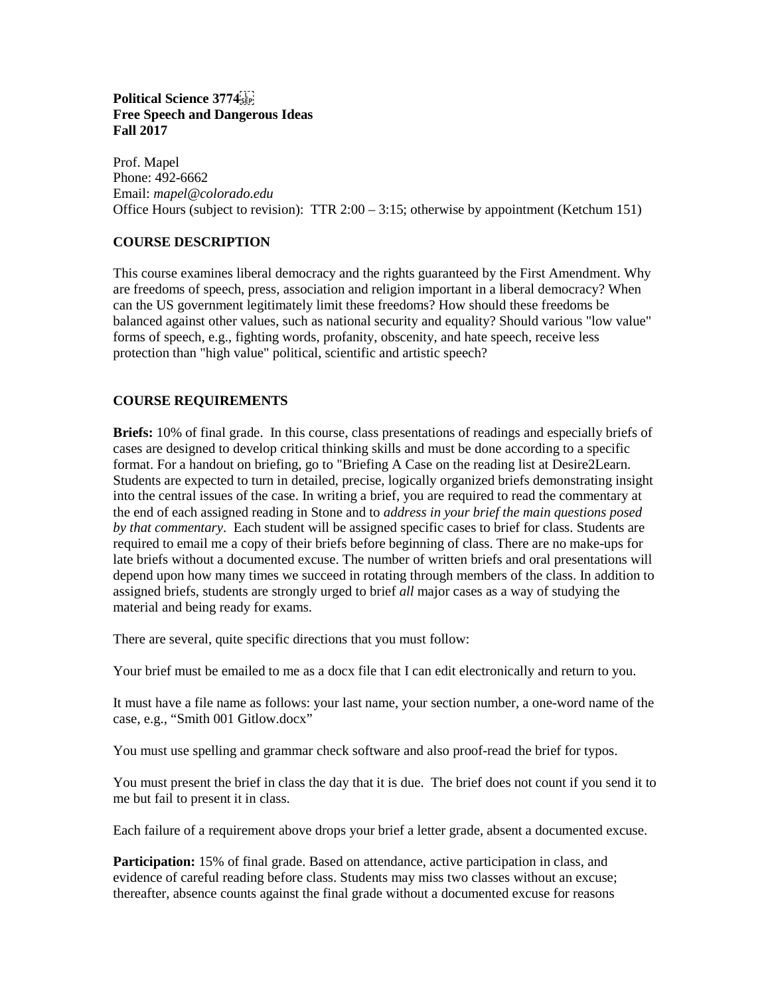# **Political Science 3774 Free Speech and Dangerous Ideas Fall 2017**

Prof. Mapel Phone: 492-6662 Email: *mapel@colorado.edu* Office Hours (subject to revision): TTR 2:00 – 3:15; otherwise by appointment (Ketchum 151)

# **COURSE DESCRIPTION**

This course examines liberal democracy and the rights guaranteed by the First Amendment. Why are freedoms of speech, press, association and religion important in a liberal democracy? When can the US government legitimately limit these freedoms? How should these freedoms be balanced against other values, such as national security and equality? Should various "low value" forms of speech, e.g., fighting words, profanity, obscenity, and hate speech, receive less protection than "high value" political, scientific and artistic speech?

# **COURSE REQUIREMENTS**

**Briefs:** 10% of final grade. In this course, class presentations of readings and especially briefs of cases are designed to develop critical thinking skills and must be done according to a specific format. For a handout on briefing, go to "Briefing A Case on the reading list at Desire2Learn. Students are expected to turn in detailed, precise, logically organized briefs demonstrating insight into the central issues of the case. In writing a brief, you are required to read the commentary at the end of each assigned reading in Stone and to *address in your brief the main questions posed by that commentary*. Each student will be assigned specific cases to brief for class. Students are required to email me a copy of their briefs before beginning of class. There are no make-ups for late briefs without a documented excuse. The number of written briefs and oral presentations will depend upon how many times we succeed in rotating through members of the class. In addition to assigned briefs, students are strongly urged to brief *all* major cases as a way of studying the material and being ready for exams.

There are several, quite specific directions that you must follow:

Your brief must be emailed to me as a docx file that I can edit electronically and return to you.

It must have a file name as follows: your last name, your section number, a one-word name of the case, e.g., "Smith 001 Gitlow.docx"

You must use spelling and grammar check software and also proof-read the brief for typos.

You must present the brief in class the day that it is due. The brief does not count if you send it to me but fail to present it in class.

Each failure of a requirement above drops your brief a letter grade, absent a documented excuse.

**Participation:** 15% of final grade. Based on attendance, active participation in class, and evidence of careful reading before class. Students may miss two classes without an excuse; thereafter, absence counts against the final grade without a documented excuse for reasons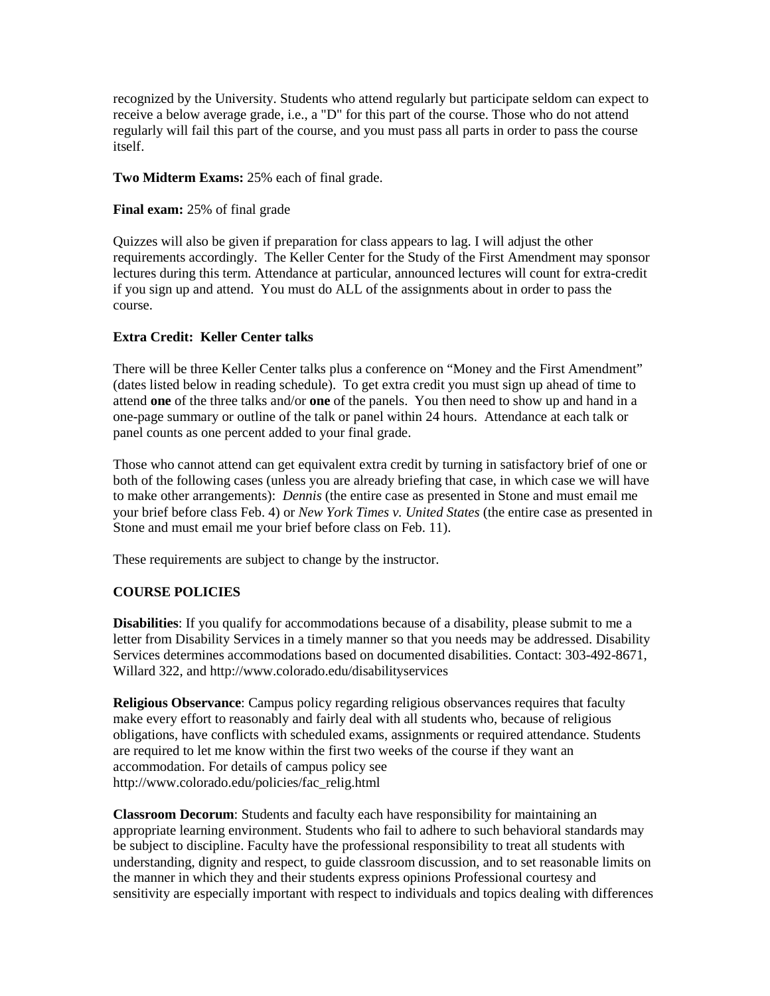recognized by the University. Students who attend regularly but participate seldom can expect to receive a below average grade, i.e., a "D" for this part of the course. Those who do not attend regularly will fail this part of the course, and you must pass all parts in order to pass the course itself.

**Two Midterm Exams:** 25% each of final grade.

**Final exam:** 25% of final grade

Quizzes will also be given if preparation for class appears to lag. I will adjust the other requirements accordingly. The Keller Center for the Study of the First Amendment may sponsor lectures during this term. Attendance at particular, announced lectures will count for extra-credit if you sign up and attend. You must do ALL of the assignments about in order to pass the course.

# **Extra Credit: Keller Center talks**

There will be three Keller Center talks plus a conference on "Money and the First Amendment" (dates listed below in reading schedule). To get extra credit you must sign up ahead of time to attend **one** of the three talks and/or **one** of the panels. You then need to show up and hand in a one-page summary or outline of the talk or panel within 24 hours. Attendance at each talk or panel counts as one percent added to your final grade.

Those who cannot attend can get equivalent extra credit by turning in satisfactory brief of one or both of the following cases (unless you are already briefing that case, in which case we will have to make other arrangements): *Dennis* (the entire case as presented in Stone and must email me your brief before class Feb. 4) or *New York Times v. United States* (the entire case as presented in Stone and must email me your brief before class on Feb. 11).

These requirements are subject to change by the instructor.

# **COURSE POLICIES**

**Disabilities**: If you qualify for accommodations because of a disability, please submit to me a letter from Disability Services in a timely manner so that you needs may be addressed. Disability Services determines accommodations based on documented disabilities. Contact: 303-492-8671, Willard 322, and<http://www.colorado.edu/disabilityservices>

**Religious Observance**: Campus policy regarding religious observances requires that faculty make every effort to reasonably and fairly deal with all students who, because of religious obligations, have conflicts with scheduled exams, assignments or required attendance. Students are required to let me know within the first two weeks of the course if they want an accommodation. For details of campus policy see [http://www.colorado.edu/policies/fac\\_relig.html](http://www.colorado.edu/policies/fac_relig.html)

**Classroom Decorum**: Students and faculty each have responsibility for maintaining an appropriate learning environment. Students who fail to adhere to such behavioral standards may be subject to discipline. Faculty have the professional responsibility to treat all students with understanding, dignity and respect, to guide classroom discussion, and to set reasonable limits on the manner in which they and their students express opinions Professional courtesy and sensitivity are especially important with respect to individuals and topics dealing with differences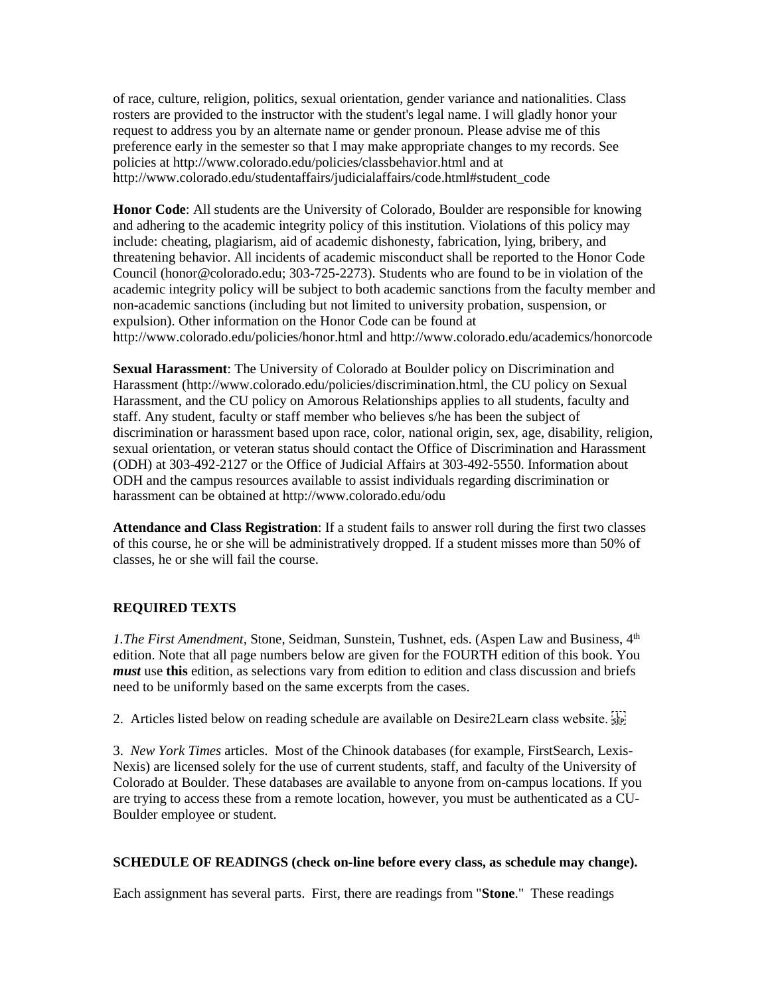of race, culture, religion, politics, sexual orientation, gender variance and nationalities. Class rosters are provided to the instructor with the student's legal name. I will gladly honor your request to address you by an alternate name or gender pronoun. Please advise me of this preference early in the semester so that I may make appropriate changes to my records. See policies at<http://www.colorado.edu/policies/classbehavior.html> and at [http://www.colorado.edu/studentaffairs/judicialaffairs/code.html#student\\_code](http://www.colorado.edu/studentaffairs/judicialaffairs/code.html#student_code)

**Honor Code**: All students are the University of Colorado, Boulder are responsible for knowing and adhering to the academic integrity policy of this institution. Violations of this policy may include: cheating, plagiarism, aid of academic dishonesty, fabrication, lying, bribery, and threatening behavior. All incidents of academic misconduct shall be reported to the Honor Code Council (honor@colorado.edu; 303-725-2273). Students who are found to be in violation of the academic integrity policy will be subject to both academic sanctions from the faculty member and non-academic sanctions (including but not limited to university probation, suspension, or expulsion). Other information on the Honor Code can be found at <http://www.colorado.edu/policies/honor.html> and<http://www.colorado.edu/academics/honorcode>

**Sexual Harassment**: The University of Colorado at Boulder policy on Discrimination and Harassment [\(http://www.colorado.edu/policies/discrimination.html,](http://www.colorado.edu/policies/discrimination.html) the CU policy on Sexual Harassment, and the CU policy on Amorous Relationships applies to all students, faculty and staff. Any student, faculty or staff member who believes s/he has been the subject of discrimination or harassment based upon race, color, national origin, sex, age, disability, religion, sexual orientation, or veteran status should contact the Office of Discrimination and Harassment (ODH) at 303-492-2127 or the Office of Judicial Affairs at 303-492-5550. Information about ODH and the campus resources available to assist individuals regarding discrimination or harassment can be obtained a[t http://www.colorado.edu/odu](http://www.colorado.edu/odu)

**Attendance and Class Registration**: If a student fails to answer roll during the first two classes of this course, he or she will be administratively dropped. If a student misses more than 50% of classes, he or she will fail the course.

# **REQUIRED TEXTS**

*1.The First Amendment, Stone, Seidman, Sunstein, Tushnet, eds. (Aspen Law and Business, 4*<sup>th</sup> edition. Note that all page numbers below are given for the FOURTH edition of this book. You *must* use **this** edition, as selections vary from edition to edition and class discussion and briefs need to be uniformly based on the same excerpts from the cases.

2. Articles listed below on reading schedule are available on Desire2Learn class website.

3. *New York Times* articles. Most of the Chinook databases (for example, FirstSearch, Lexis-Nexis) are licensed solely for the use of current students, staff, and faculty of the University of Colorado at Boulder. These databases are available to anyone from on-campus locations. If you are trying to access these from a remote location, however, you must be authenticated as a CU-Boulder employee or student.

# **SCHEDULE OF READINGS (check on-line before every class, as schedule may change).**

Each assignment has several parts. First, there are readings from "**Stone**." These readings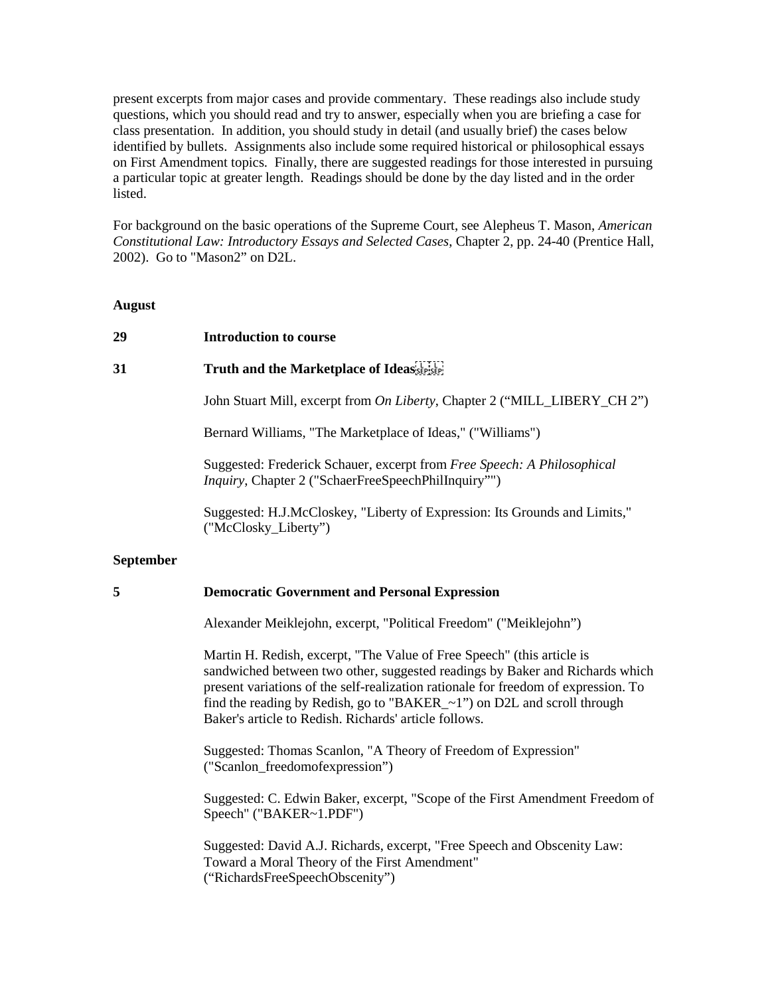present excerpts from major cases and provide commentary. These readings also include study questions, which you should read and try to answer, especially when you are briefing a case for class presentation. In addition, you should study in detail (and usually brief) the cases below identified by bullets. Assignments also include some required historical or philosophical essays on First Amendment topics. Finally, there are suggested readings for those interested in pursuing a particular topic at greater length. Readings should be done by the day listed and in the order listed.

For background on the basic operations of the Supreme Court, see Alepheus T. Mason, *American Constitutional Law: Introductory Essays and Selected Cases*, Chapter 2, pp. 24-40 (Prentice Hall, 2002). Go to "Mason2" on D2L.

**August**

#### **29 Introduction to course**

### **31 Truth and the Marketplace of Ideas**

John Stuart Mill, excerpt from *On Liberty*, Chapter 2 ("MILL\_LIBERY\_CH 2")

Bernard Williams, "The Marketplace of Ideas," ("Williams")

Suggested: Frederick Schauer, excerpt from *Free Speech: A Philosophical Inquiry*, Chapter 2 ("SchaerFreeSpeechPhilInquiry"")

Suggested: H.J.McCloskey, "Liberty of Expression: Its Grounds and Limits," ("McClosky\_Liberty")

#### **September**

### **5 Democratic Government and Personal Expression**

Alexander Meiklejohn, excerpt, "Political Freedom" ("Meiklejohn")

Martin H. Redish, excerpt, "The Value of Free Speech" (this article is sandwiched between two other, suggested readings by Baker and Richards which present variations of the self-realization rationale for freedom of expression. To find the reading by Redish, go to "BAKER  $~1$ ") on D2L and scroll through Baker's article to Redish. Richards' article follows.

Suggested: Thomas Scanlon, "A Theory of Freedom of Expression" ("Scanlon\_freedomofexpression")

Suggested: C. Edwin Baker, excerpt, "Scope of the First Amendment Freedom of Speech" ("BAKER~1.PDF")

Suggested: David A.J. Richards, excerpt, "Free Speech and Obscenity Law: Toward a Moral Theory of the First Amendment" ("RichardsFreeSpeechObscenity")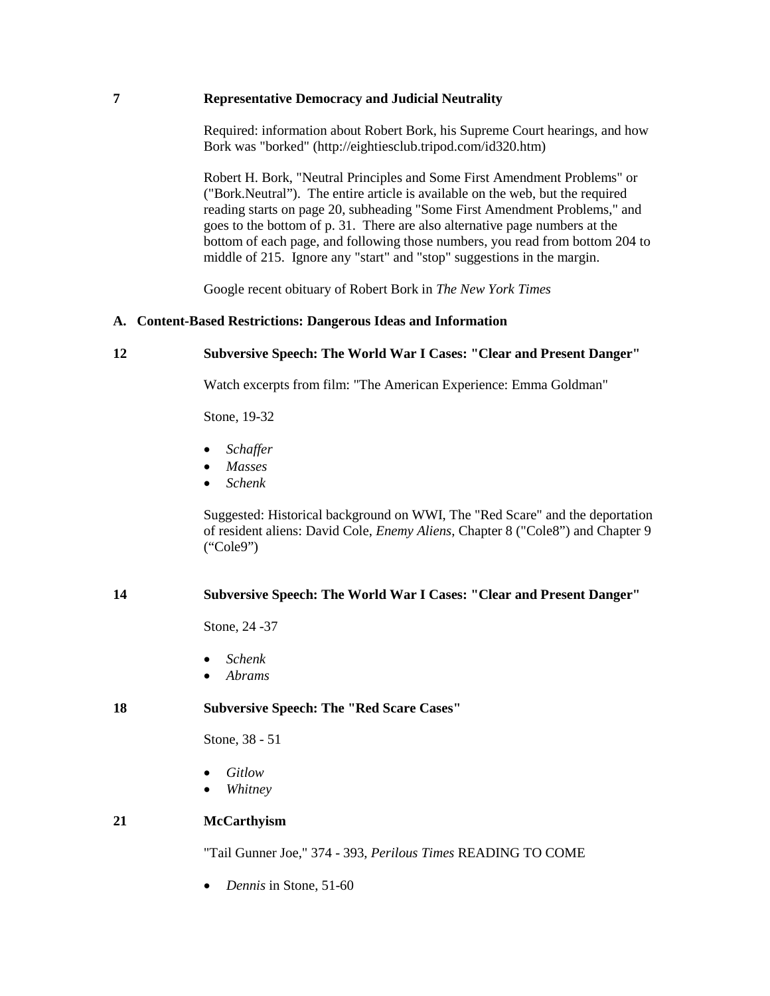# **7 Representative Democracy and Judicial Neutrality**

Required: information about Robert Bork, his Supreme Court hearings, and how Bork was "borked" [\(http://eightiesclub.tripod.com/id320.htm\)](http://eightiesclub.tripod.com/id320.htm)

Robert H. Bork, "Neutral Principles and Some First Amendment Problems" or ("Bork.Neutral"). The entire article is available on the web, but the required reading starts on page 20, subheading "Some First Amendment Problems," and goes to the bottom of p. 31. There are also alternative page numbers at the bottom of each page, and following those numbers, you read from bottom 204 to middle of 215. Ignore any "start" and "stop" suggestions in the margin.

Google recent obituary of Robert Bork in *The New York Times*

# **A. Content-Based Restrictions: Dangerous Ideas and Information**

# **12 Subversive Speech: The World War I Cases: "Clear and Present Danger"**

Watch excerpts from film: "The American Experience: Emma Goldman"

Stone, 19-32

- *Schaffer*
- *Masses*
- *Schenk*

Suggested: Historical background on WWI, The "Red Scare" and the deportation of resident aliens: David Cole, *Enemy Aliens*, Chapter 8 ("Cole8") and Chapter 9 ("Cole9")

# **14 Subversive Speech: The World War I Cases: "Clear and Present Danger"**

Stone, 24 -37

- *Schenk*
- *Abrams*

# **18 Subversive Speech: The "Red Scare Cases"**

Stone, 38 - 51

- *Gitlow*
- *Whitney*

# **21 McCarthyism**

"Tail Gunner Joe," 374 - 393, *Perilous Times* READING TO COME

• *Dennis* in Stone, 51-60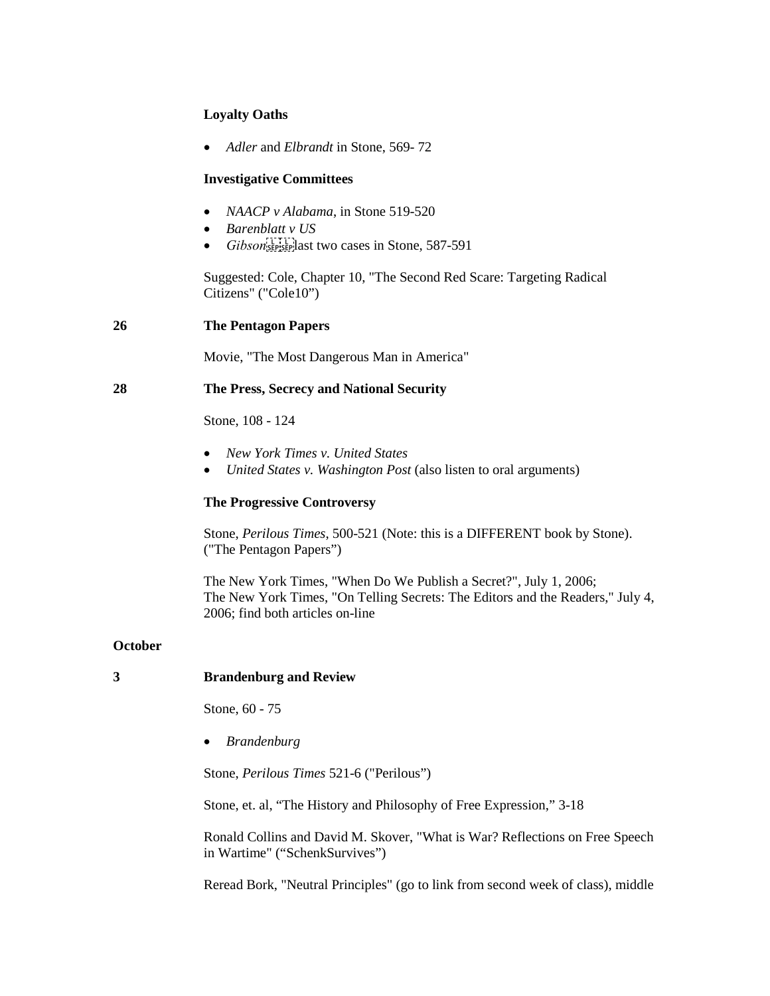# **Loyalty Oaths**

• *Adler* and *Elbrandt* in Stone, 569- 72

### **Investigative Committees**

- *NAACP v Alabama*, in Stone 519-520
- *Barenblatt v US*
- *Gibson*<sup>[1717</sup>] ast two cases in Stone, 587-591

Suggested: Cole, Chapter 10, "The Second Red Scare: Targeting Radical Citizens" ("Cole10")

### **26 The Pentagon Papers**

Movie, "The Most Dangerous Man in America"

### **28 The Press, Secrecy and National Security**

Stone, 108 - 124

- *New York Times v. United States*
- *United States v. Washington Post* (also listen to oral arguments)

### **The Progressive Controversy**

Stone, *Perilous Times*, 500-521 (Note: this is a DIFFERENT book by Stone). ("The Pentagon Papers")

[The New York Times, "When Do We](http://proquest.umi.com/pqdweb?index=8&did=1070108241&SrchMode=1&sid=2&Fmt=3&VInst=PROD&VType=PQD&RQT=309&VName=PQD&TS=1152393804&clientId=56281) Publish a Secret?", July 1, 2006; [The New York Times, "On Telling Secrets: The Editors and the Readers," July 4,](http://proquest.umi.com/pqdweb?index=0&did=1071106201&SrchMode=1&sid=1&Fmt=3&VInst=PROD&VType=PQD&RQT=309&VName=PQD&TS=1152394129&clientId=56281)  [2006;](http://proquest.umi.com/pqdweb?index=0&did=1071106201&SrchMode=1&sid=1&Fmt=3&VInst=PROD&VType=PQD&RQT=309&VName=PQD&TS=1152394129&clientId=56281) find both articles on-line

# **October**

# **3 Brandenburg and Review**

Stone, 60 - 75

• *Brandenburg*

Stone, *Perilous Times* 521-6 ("Perilous")

Stone, et. al, "The History and Philosophy of Free Expression," 3-18

Ronald Collins and David M. Skover, "What is War? Reflections on Free Speech in Wartime" ("SchenkSurvives")

Reread Bork, "Neutral Principles" (go to link from second week of class), middle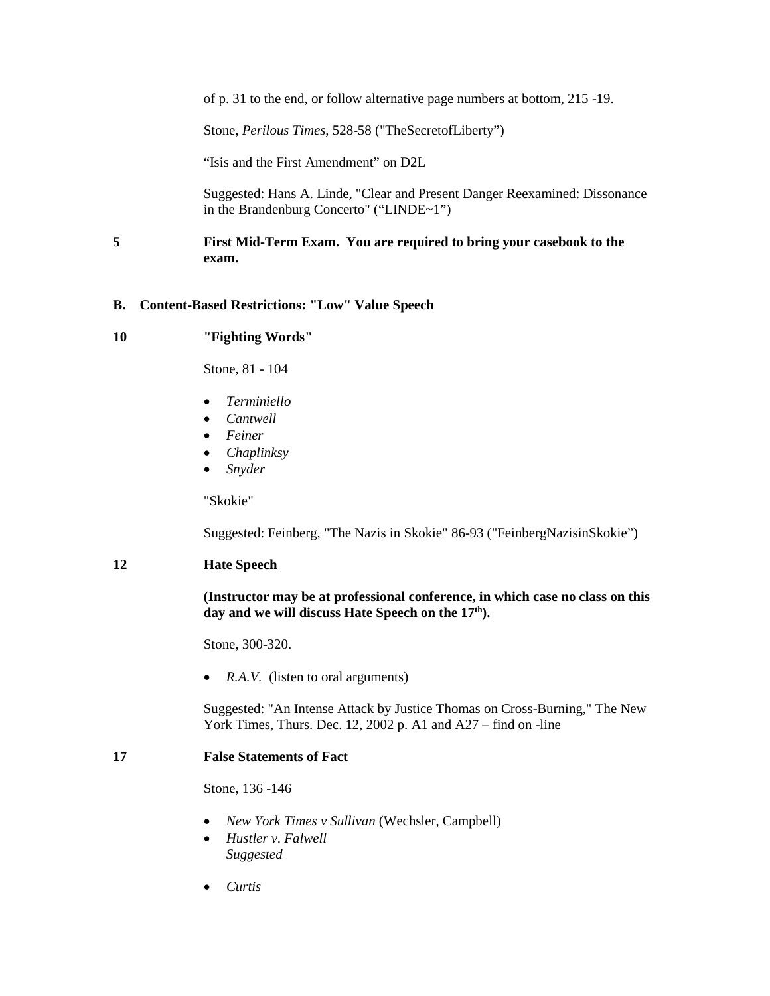of p. 31 to the end, or follow alternative page numbers at bottom, 215 -19.

Stone, *Perilous Times*, 528-58 ("TheSecretofLiberty")

"Isis and the First Amendment" on D2L

Suggested: Hans A. Linde, "Clear and Present Danger Reexamined: Dissonance in the Brandenburg Concerto" ("LINDE~1")

# **5 First Mid-Term Exam. You are required to bring your casebook to the exam.**

### **B. Content-Based Restrictions: "Low" Value Speech**

### **10 "Fighting Words"**

Stone, 81 - 104

- *Terminiello*
- *Cantwell*
- *Feiner*
- *Chaplinksy*
- *Snyder*

"Skokie"

Suggested: Feinberg, "The Nazis in Skokie" 86-93 ("FeinbergNazisinSkokie")

#### **12 Hate Speech**

### **(Instructor may be at professional conference, in which case no class on this**  day and we will discuss Hate Speech on the 17<sup>th</sup>).

Stone, 300-320.

• *R.A.V.* (listen to oral arguments)

Suggested: ["An Intense Attack by Justice Thomas on Cross-Burning,](http://proquest.umi.com/pqdweb?did=262825501&sid=1&Fmt=3&clientId=56281&RQT=309&VName=PQD)" The New York Times, Thurs. Dec. 12, 2002 p. A1 and A27 – find on -line

### **17 False Statements of Fact**

Stone, 136 -146

- *New York Times v Sullivan* (Wechsler, Campbell)
- *Hustler v. Falwell Suggested*
- *Curtis*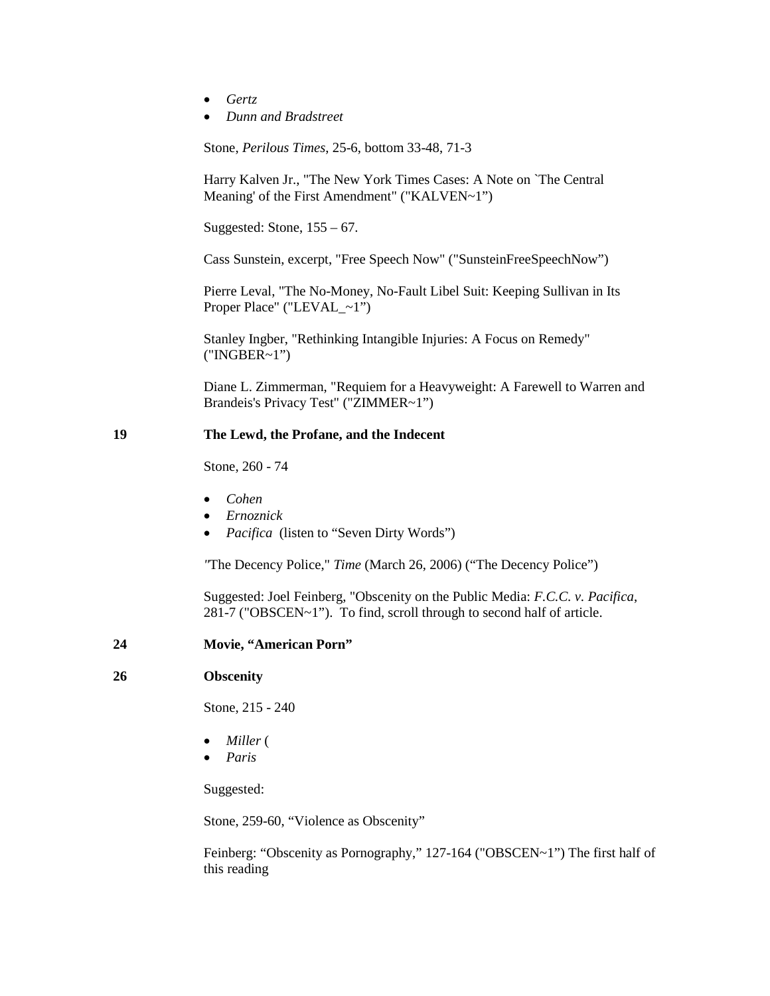- *Gertz*
- *Dunn and Bradstreet*

Stone, *Perilous Times*, 25-6, bottom 33-48, 71-3

Harry Kalven Jr., "The New York Times Cases: A Note on `The Central Meaning' of the First Amendment" ("KALVEN~1")

Suggested: Stone, 155 – 67.

Cass Sunstein, excerpt, "Free Speech Now" ("SunsteinFreeSpeechNow")

Pierre Leval, "The No-Money, No-Fault Libel Suit: Keeping Sullivan in Its Proper Place" ("LEVAL\_~1")

Stanley Ingber, "Rethinking Intangible Injuries: A Focus on Remedy" ("INGBER~1")

Diane L. Zimmerman, "Requiem for a Heavyweight: A Farewell to Warren and Brandeis's Privacy Test" ("ZIMMER~1")

# **19 The Lewd, the Profane, and the Indecent**

Stone, 260 - 74

- *Cohen*
- *Ernoznick*
- *Pacifica* (listen to "Seven Dirty Words")

*"*The Decency Police," *Time* (March 26, 2006) ("The Decency Police")

Suggested: Joel Feinberg, "Obscenity on the Public Media: *F.C.C. v. Pacifica*, 281-7 ("OBSCEN~1"). To find, scroll through to second half of article.

#### **24 Movie, "American Porn"**

### **26 Obscenity**

Stone, 215 - 240

- *Miller* (
- *Paris*

Suggested:

Stone, 259-60, "Violence as Obscenity"

Feinberg: "Obscenity as Pornography," 127-164 ("OBSCEN~1") The first half of this reading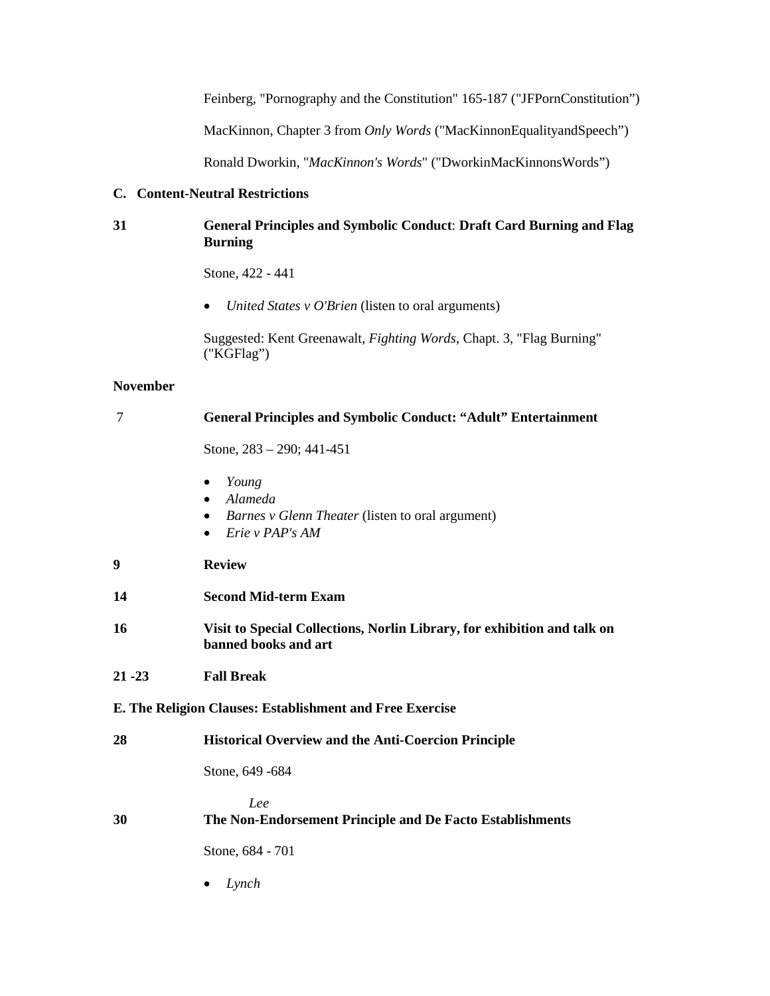Feinberg, "Pornography and the Constitution" 165-187 ("JFPornConstitution")

MacKinnon, Chapter 3 from *Only Words* ("MacKinnonEqualityandSpeech")

Ronald Dworkin, "*MacKinnon's Words*" ("DworkinMacKinnonsWords")

# **C. Content-Neutral Restrictions**

# **31 General Principles and Symbolic Conduct**: **Draft Card Burning and Flag Burning**

Stone, 422 - 441

• *United States v O'Brien* (listen to oral arguments)

Suggested: Kent Greenawalt, *Fighting Words*, Chapt. 3, "Flag Burning" ("KGFlag")

### **November**

| 7                                                        | <b>General Principles and Symbolic Conduct: "Adult" Entertainment</b>                                                    |
|----------------------------------------------------------|--------------------------------------------------------------------------------------------------------------------------|
|                                                          | Stone, $283 - 290$ ; $441 - 451$                                                                                         |
|                                                          | Young<br>Alameda<br><i>Barnes v Glenn Theater</i> (listen to oral argument)<br>$\bullet$<br>Erie v PAP's AM<br>$\bullet$ |
| 9                                                        | <b>Review</b>                                                                                                            |
| 14                                                       | <b>Second Mid-term Exam</b>                                                                                              |
| 16                                                       | Visit to Special Collections, Norlin Library, for exhibition and talk on<br>banned books and art                         |
| $21 - 23$                                                | <b>Fall Break</b>                                                                                                        |
| E. The Religion Clauses: Establishment and Free Exercise |                                                                                                                          |
| 28                                                       | <b>Historical Overview and the Anti-Coercion Principle</b>                                                               |
|                                                          | Stone, 649 - 684                                                                                                         |
| 30                                                       | Lee<br>The Non-Endorsement Principle and De Facto Establishments<br>Stone, 684 - 701                                     |
|                                                          | Lynch                                                                                                                    |